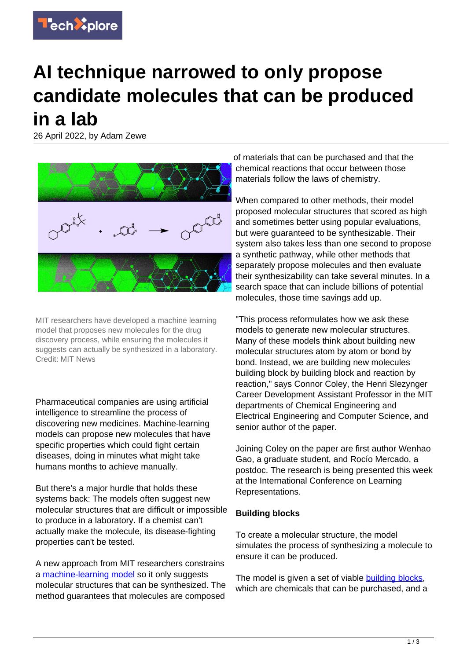

## **AI technique narrowed to only propose candidate molecules that can be produced in a lab**

26 April 2022, by Adam Zewe



MIT researchers have developed a machine learning model that proposes new molecules for the drug discovery process, while ensuring the molecules it suggests can actually be synthesized in a laboratory. Credit: MIT News

Pharmaceutical companies are using artificial intelligence to streamline the process of discovering new medicines. Machine-learning models can propose new molecules that have specific properties which could fight certain diseases, doing in minutes what might take humans months to achieve manually.

But there's a major hurdle that holds these systems back: The models often suggest new molecular structures that are difficult or impossible to produce in a laboratory. If a chemist can't actually make the molecule, its disease-fighting properties can't be tested.

A new approach from MIT researchers constrains a [machine-learning model](https://techxplore.com/tags/machine-learning+model/) so it only suggests molecular structures that can be synthesized. The method guarantees that molecules are composed of materials that can be purchased and that the chemical reactions that occur between those materials follow the laws of chemistry.

When compared to other methods, their model proposed molecular structures that scored as high and sometimes better using popular evaluations, but were guaranteed to be synthesizable. Their system also takes less than one second to propose a synthetic pathway, while other methods that separately propose molecules and then evaluate their synthesizability can take several minutes. In a search space that can include billions of potential molecules, those time savings add up.

"This process reformulates how we ask these models to generate new molecular structures. Many of these models think about building new molecular structures atom by atom or bond by bond. Instead, we are building new molecules building block by building block and reaction by reaction," says Connor Coley, the Henri Slezynger Career Development Assistant Professor in the MIT departments of Chemical Engineering and Electrical Engineering and Computer Science, and senior author of the paper.

Joining Coley on the paper are first author Wenhao Gao, a graduate student, and Rocío Mercado, a postdoc. The research is being presented this week at the International Conference on Learning Representations.

## **Building blocks**

To create a molecular structure, the model simulates the process of synthesizing a molecule to ensure it can be produced.

The model is given a set of viable [building blocks,](https://techxplore.com/tags/building+blocks/) which are chemicals that can be purchased, and a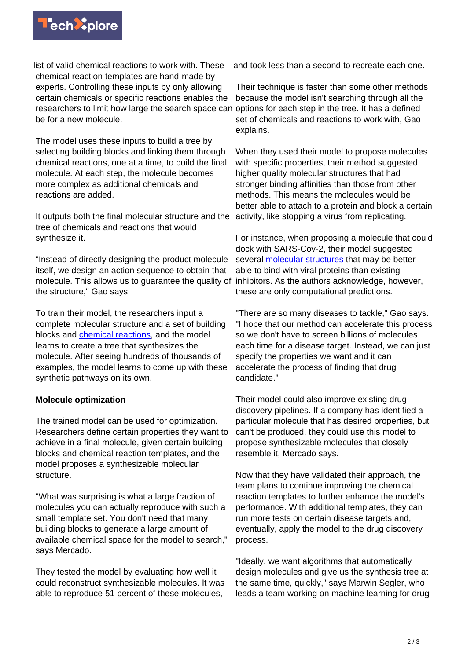

list of valid chemical reactions to work with. These chemical reaction templates are hand-made by experts. Controlling these inputs by only allowing certain chemicals or specific reactions enables the researchers to limit how large the search space can options for each step in the tree. It has a defined be for a new molecule.

The model uses these inputs to build a tree by selecting building blocks and linking them through chemical reactions, one at a time, to build the final molecule. At each step, the molecule becomes more complex as additional chemicals and reactions are added.

It outputs both the final molecular structure and the tree of chemicals and reactions that would synthesize it.

"Instead of directly designing the product molecule itself, we design an action sequence to obtain that molecule. This allows us to guarantee the quality of the structure," Gao says.

To train their model, the researchers input a complete molecular structure and a set of building blocks and **[chemical reactions](https://techxplore.com/tags/chemical+reactions/)**, and the model learns to create a tree that synthesizes the molecule. After seeing hundreds of thousands of examples, the model learns to come up with these synthetic pathways on its own.

## **Molecule optimization**

The trained model can be used for optimization. Researchers define certain properties they want to achieve in a final molecule, given certain building blocks and chemical reaction templates, and the model proposes a synthesizable molecular structure.

"What was surprising is what a large fraction of molecules you can actually reproduce with such a small template set. You don't need that many building blocks to generate a large amount of available chemical space for the model to search," says Mercado.

They tested the model by evaluating how well it could reconstruct synthesizable molecules. It was able to reproduce 51 percent of these molecules,

and took less than a second to recreate each one.

Their technique is faster than some other methods because the model isn't searching through all the set of chemicals and reactions to work with, Gao explains.

When they used their model to propose molecules with specific properties, their method suggested higher quality molecular structures that had stronger binding affinities than those from other methods. This means the molecules would be better able to attach to a protein and block a certain activity, like stopping a virus from replicating.

For instance, when proposing a molecule that could dock with SARS-Cov-2, their model suggested several **[molecular structures](https://techxplore.com/tags/molecular+structures/)** that may be better able to bind with viral proteins than existing inhibitors. As the authors acknowledge, however, these are only computational predictions.

"There are so many diseases to tackle," Gao says. "I hope that our method can accelerate this process so we don't have to screen billions of molecules each time for a disease target. Instead, we can just specify the properties we want and it can accelerate the process of finding that drug candidate."

Their model could also improve existing drug discovery pipelines. If a company has identified a particular molecule that has desired properties, but can't be produced, they could use this model to propose synthesizable molecules that closely resemble it, Mercado says.

Now that they have validated their approach, the team plans to continue improving the chemical reaction templates to further enhance the model's performance. With additional templates, they can run more tests on certain disease targets and, eventually, apply the model to the drug discovery process.

"Ideally, we want algorithms that automatically design molecules and give us the synthesis tree at the same time, quickly," says Marwin Segler, who leads a team working on machine learning for drug